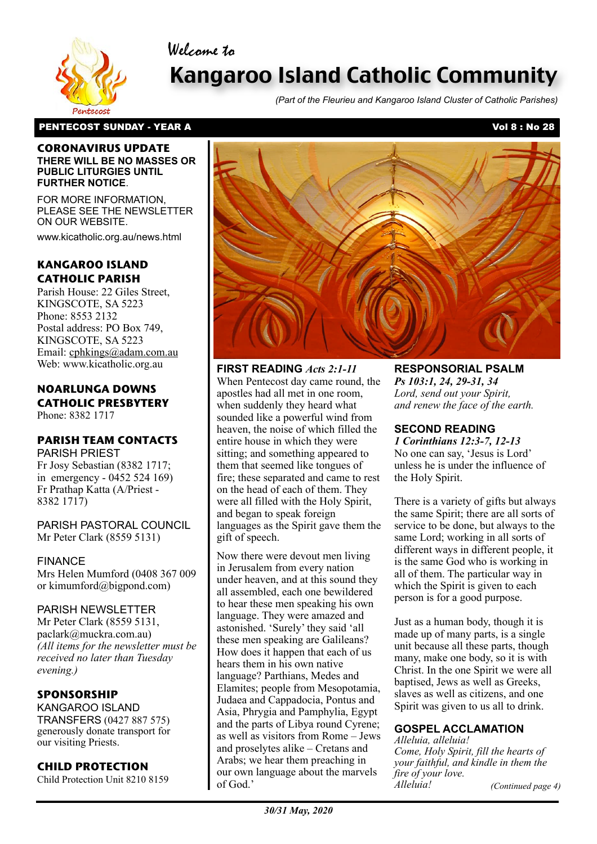



# Kangaroo Island Catholic Community

*(Part of the Fleurieu and Kangaroo Island Cluster of Catholic Parishes)*

### PENTECOST SUNDAY - YEAR A Vol 8 : No 28

#### **CORONAVIRUS UPDATE THERE WILL BE NO MASSES OR PUBLIC LITURGIES UNTIL FURTHER NOTICE**.

FOR MORE INFORMATION, PLEASE SEE THE NEWSLETTER ON OUR WEBSITE.

www.kicatholic.org.au/news.html

# **KANGAROO ISLAND CATHOLIC PARISH**

Parish House: 22 Giles Street, KINGSCOTE, SA 5223 Phone: 8553 2132 Postal address: PO Box 749, KINGSCOTE, SA 5223 Email: cphkings@adam.com.au Web: www.kicatholic.org.au

#### **NOARLUNGA DOWNS CATHOLIC PRESBYTERY** Phone: 8382 1717

# **PARISH TEAM CONTACTS**

PARISH PRIEST Fr Josy Sebastian (8382 1717; in emergency - 0452 524 169) Fr Prathap Katta (A/Priest - 8382 1717)

PARISH PASTORAL COUNCIL Mr Peter Clark (8559 5131)

FINANCE Mrs Helen Mumford (0408 367 009 or kimumford@bigpond.com)

## PARISH NEWSLETTER

Mr Peter Clark (8559 5131, paclark@muckra.com.au) *(All items for the newsletter must be received no later than Tuesday evening.)*

# **SPONSORSHIP**

KANGAROO ISLAND TRANSFERS (0427 887 575) generously donate transport for our visiting Priests.

# **CHILD PROTECTION**

Child Protection Unit 8210 8159



**FIRST READING** *Acts 2:1-11* When Pentecost day came round, the apostles had all met in one room, when suddenly they heard what sounded like a powerful wind from heaven, the noise of which filled the entire house in which they were sitting; and something appeared to them that seemed like tongues of fire; these separated and came to rest on the head of each of them. They were all filled with the Holy Spirit, and began to speak foreign languages as the Spirit gave them the gift of speech.

Now there were devout men living in Jerusalem from every nation under heaven, and at this sound they all assembled, each one bewildered to hear these men speaking his own language. They were amazed and astonished. 'Surely' they said 'all these men speaking are Galileans? How does it happen that each of us hears them in his own native language? Parthians, Medes and Elamites; people from Mesopotamia, Judaea and Cappadocia, Pontus and Asia, Phrygia and Pamphylia, Egypt and the parts of Libya round Cyrene; as well as visitors from Rome – Jews and proselytes alike – Cretans and Arabs; we hear them preaching in our own language about the marvels of God.'

**RESPONSORIAL PSALM** *Ps 103:1, 24, 29-31, 34 Lord, send out your Spirit, and renew the face of the earth.*

# **SECOND READING**

*1 Corinthians 12:3-7, 12-13* No one can say, 'Jesus is Lord' unless he is under the influence of the Holy Spirit.

There is a variety of gifts but always the same Spirit; there are all sorts of service to be done, but always to the same Lord; working in all sorts of different ways in different people, it is the same God who is working in all of them. The particular way in which the Spirit is given to each person is for a good purpose.

Just as a human body, though it is made up of many parts, is a single unit because all these parts, though many, make one body, so it is with Christ. In the one Spirit we were all baptised, Jews as well as Greeks, slaves as well as citizens, and one Spirit was given to us all to drink.

# **GOSPEL ACCLAMATION**

*Alleluia, alleluia! Come, Holy Spirit, fill the hearts of your faithful, and kindle in them the fire of your love. Alleluia!*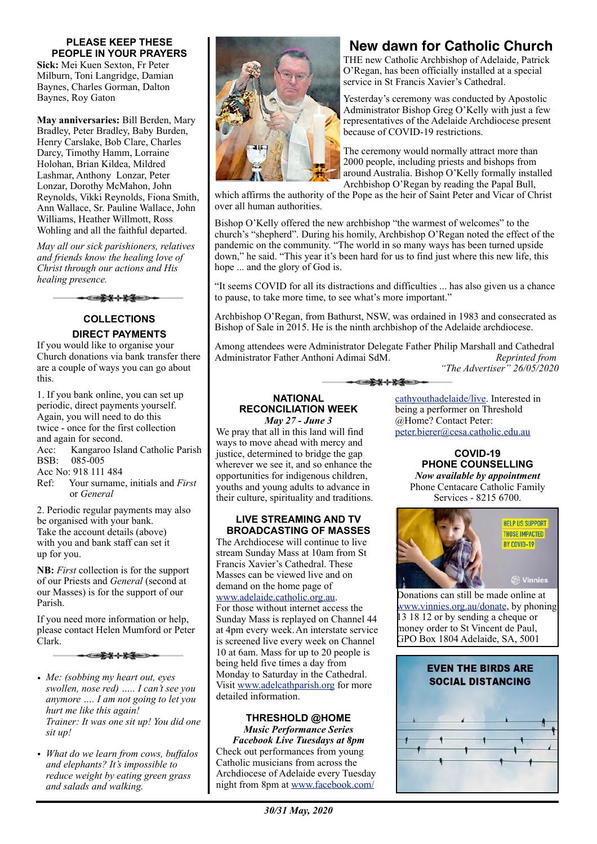#### **PLEASE KEEP THESE PEOPLE IN YOUR PRAYERS**

**Sick:** Mei Kuen Sexton, Fr Peter Milburn, Toni Langridge, Damian Baynes, Charles Gorman, Dalton Baynes, Roy Gaton

**May anniversaries:** Bill Berden, Mary Bradley, Peter Bradley, Baby Burden, Henry Carslake, Bob Clare, Charles Darcy, Timothy Hamm, Lorraine Holohan, Brian Kildea, Mildred Lashmar, Anthony Lonzar, Peter Lonzar, Dorothy McMahon, John Reynolds, Vikki Reynolds, Fiona Smith, Ann Wallace, Sr. Pauline Wallace, John Williams, Heather Willmott, Ross Wohling and all the faithful departed.

*May all our sick parishioners, relatives and friends know the healing love of Christ through our actions and His healing presence.*

**COLLECTIONS DIRECT PAYMENTS**

If you would like to organise your Church donations via bank transfer there are a couple of ways you can go about this.

1. If you bank online, you can set up periodic, direct payments yourself. Again, you will need to do this twice - once for the first collection and again for second. Acc: Kangaroo Island Catholic Parish BSB: 085-005 Acc No: 918 111 484

Ref: Your surname, initials and *First* or *General*

2. Periodic regular payments may also be organised with your bank. Take the account details (above) with you and bank staff can set it up for you.

**NB:** *First* collection is for the support of our Priests and *General* (second at our Masses) is for the support of our Parish.

If you need more information or help, please contact Helen Mumford or Peter Clark.

\*\*\*\*\*

- *• Me: (sobbing my heart out, eyes swollen, nose red) ….. I can't see you anymore …. I am not going to let you hurt me like this again! Trainer: It was one sit up! You did one sit up!*
- *• What do we learn from cows, buffalos and elephants? It's impossible to reduce weight by eating green grass and salads and walking.*



# **New dawn for Catholic Church**

THE new Catholic Archbishop of Adelaide, Patrick O'Regan, has been officially installed at a special service in St Francis Xavier's Cathedral.

Yesterday's ceremony was conducted by Apostolic Administrator Bishop Greg O'Kelly with just a few representatives of the Adelaide Archdiocese present because of COVID-19 restrictions.

The ceremony would normally attract more than 2000 people, including priests and bishops from around Australia. Bishop O'Kelly formally installed Archbishop O'Regan by reading the Papal Bull,

which affirms the authority of the Pope as the heir of Saint Peter and Vicar of Christ over all human authorities.

Bishop O'Kelly offered the new archbishop "the warmest of welcomes" to the church's "shepherd". During his homily, Archbishop O'Regan noted the effect of the pandemic on the community. "The world in so many ways has been turned upside down," he said. "This year it's been hard for us to find just where this new life, this hope ... and the glory of God is.

"It seems COVID for all its distractions and difficulties ... has also given us a chance to pause, to take more time, to see what's more important."

Archbishop O'Regan, from Bathurst, NSW, was ordained in 1983 and consecrated as Bishop of Sale in 2015. He is the ninth archbishop of the Adelaide archdiocese.

Among attendees were Administrator Delegate Father Philip Marshall and Cathedral Administrator Father Anthoni Adimai SdM. *Reprinted from* 

\*\*\*\*\*

*"The Advertiser" 26/05/2020*

# **NATIONAL RECONCILIATION WEEK**

*May 27 - June 3*  We pray that all in this land will find ways to move ahead with mercy and justice, determined to bridge the gap wherever we see it, and so enhance the opportunities for indigenous children, youths and young adults to advance in their culture, spirituality and traditions.

#### **LIVE STREAMING AND TV BROADCASTING OF MASSES**

The Archdiocese will continue to live stream Sunday Mass at 10am from St Francis Xavier's Cathedral. These Masses can be viewed live and on demand on the home page of [www.adelaide.catholic.org.au.](http://www.adelaide.catholic.org.au) For those without internet access the Sunday Mass is replayed on Channel 44 at 4pm every week.An interstate service is screened live every week on Channel 10 at 6am. Mass for up to 20 people is being held five times a day from Monday to Saturday in the Cathedral. Visit [www.adelcathparish.org](http://www.adelcathparish.org) for more detailed information.

#### **THRESHOLD @HOME**  *Music Performance Series*

*Facebook Live Tuesdays at 8pm* Check out performances from young Catholic musicians from across the Archdiocese of Adelaide every Tuesday night from 8pm at [www.facebook.com/](http://www.facebook.com/cathyouthadelaide/live)

[cathyouthadelaide/live](http://www.facebook.com/cathyouthadelaide/live). Interested in being a performer on Threshold @Home? Contact Peter: [peter.bierer@cesa.catholic.edu.au](mailto:peter.bierer@cesa.catholic.edu.au)

> **COVID-19 PHONE COUNSELLING**  *Now available by appointment* Phone Centacare Catholic Family Services - 8215 6700.



Donations can still be made online at [www.vinnies.org.au/donate,](http://www.vinnies.org.au/donate) by phoning 13 18 12 or by sending a cheque or money order to St Vincent de Paul, GPO Box 1804 Adelaide, SA, 5001

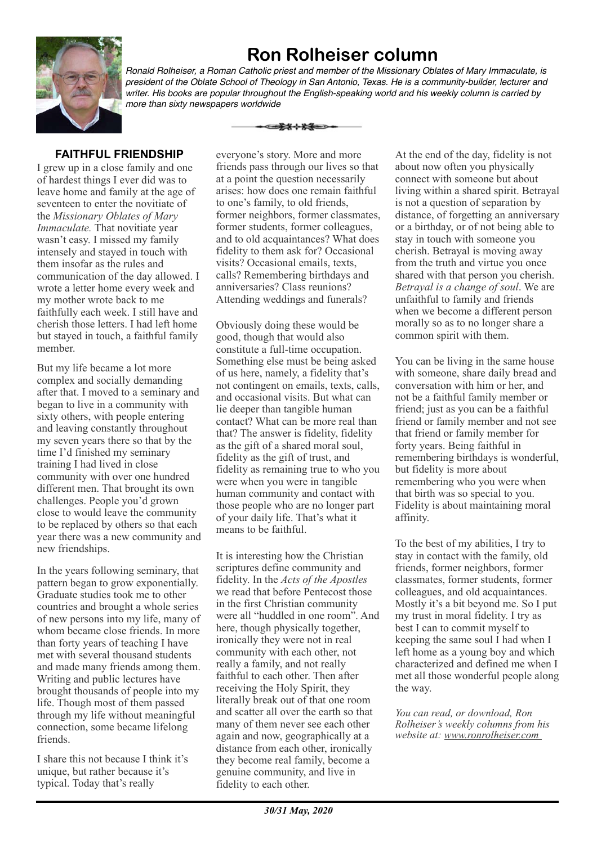# **Ron Rolheiser column**



*Ronald Rolheiser, a Roman Catholic priest and member of the Missionary Oblates of Mary Immaculate, is president of the Oblate School of Theology in San Antonio, Texas. He is a community-builder, lecturer and writer. His books are popular throughout the English-speaking world and his weekly column is carried by more than sixty newspapers worldwide*

# **FAITHFUL FRIENDSHIP**

I grew up in a close family and one of hardest things I ever did was to leave home and family at the age of seventeen to enter the novitiate of the *Missionary Oblates of Mary Immaculate.* That novitiate year wasn't easy. I missed my family intensely and stayed in touch with them insofar as the rules and communication of the day allowed. I wrote a letter home every week and my mother wrote back to me faithfully each week. I still have and cherish those letters. I had left home but stayed in touch, a faithful family member.

But my life became a lot more complex and socially demanding after that. I moved to a seminary and began to live in a community with sixty others, with people entering and leaving constantly throughout my seven years there so that by the time I'd finished my seminary training I had lived in close community with over one hundred different men. That brought its own challenges. People you'd grown close to would leave the community to be replaced by others so that each year there was a new community and new friendships.

In the years following seminary, that pattern began to grow exponentially. Graduate studies took me to other countries and brought a whole series of new persons into my life, many of whom became close friends. In more than forty years of teaching I have met with several thousand students and made many friends among them. Writing and public lectures have brought thousands of people into my life. Though most of them passed through my life without meaningful connection, some became lifelong friends.

I share this not because I think it's unique, but rather because it's typical. Today that's really

everyone's story. More and more friends pass through our lives so that at a point the question necessarily arises: how does one remain faithful to one's family, to old friends, former neighbors, former classmates, former students, former colleagues, and to old acquaintances? What does fidelity to them ask for? Occasional visits? Occasional emails, texts, calls? Remembering birthdays and anniversaries? Class reunions? Attending weddings and funerals?

</u>

Obviously doing these would be good, though that would also constitute a full-time occupation. Something else must be being asked of us here, namely, a fidelity that's not contingent on emails, texts, calls, and occasional visits. But what can lie deeper than tangible human contact? What can be more real than that? The answer is fidelity, fidelity as the gift of a shared moral soul, fidelity as the gift of trust, and fidelity as remaining true to who you were when you were in tangible human community and contact with those people who are no longer part of your daily life. That's what it means to be faithful.

It is interesting how the Christian scriptures define community and fidelity. In the *Acts of the Apostles* we read that before Pentecost those in the first Christian community were all "huddled in one room". And here, though physically together, ironically they were not in real community with each other, not really a family, and not really faithful to each other. Then after receiving the Holy Spirit, they literally break out of that one room and scatter all over the earth so that many of them never see each other again and now, geographically at a distance from each other, ironically they become real family, become a genuine community, and live in fidelity to each other.

At the end of the day, fidelity is not about now often you physically connect with someone but about living within a shared spirit. Betrayal is not a question of separation by distance, of forgetting an anniversary or a birthday, or of not being able to stay in touch with someone you cherish. Betrayal is moving away from the truth and virtue you once shared with that person you cherish. *Betrayal is a change of soul*. We are unfaithful to family and friends when we become a different person morally so as to no longer share a common spirit with them.

You can be living in the same house with someone, share daily bread and conversation with him or her, and not be a faithful family member or friend; just as you can be a faithful friend or family member and not see that friend or family member for forty years. Being faithful in remembering birthdays is wonderful, but fidelity is more about remembering who you were when that birth was so special to you. Fidelity is about maintaining moral affinity.

To the best of my abilities, I try to stay in contact with the family, old friends, former neighbors, former classmates, former students, former colleagues, and old acquaintances. Mostly it's a bit beyond me. So I put my trust in moral fidelity. I try as best I can to commit myself to keeping the same soul I had when I left home as a young boy and which characterized and defined me when I met all those wonderful people along the way.

*You can read, or download, Ron Rolheiser's weekly columns from his website at: www.ronrolheiser.com*